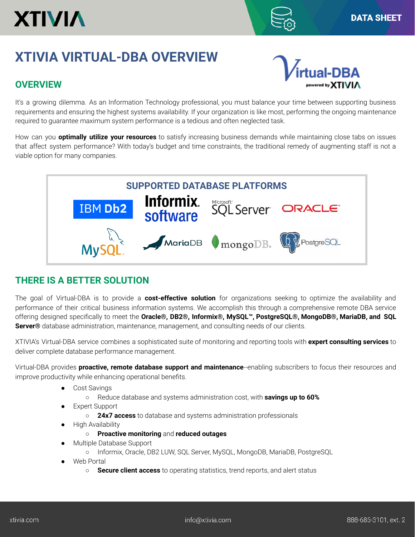# **XTIVIA**

ered by **XT** 

## **XTIVIA VIRTUAL-DBA OVERVIEW**

### **OVERVIEW**

It's a growing dilemma. As an Information Technology professional, you must balance your time between supporting business requirements and ensuring the highest systems availability. If your organization is like most, performing the ongoing maintenance required to guarantee maximum system performance is a tedious and often neglected task.

How can you **optimally utilize your resources** to satisfy increasing business demands while maintaining close tabs on issues that affect system performance? With today's budget and time constraints, the traditional remedy of augmenting staff is not a viable option for many companies.



#### **THERE IS A BETTER SOLUTION**

The goal of Virtual-DBA is to provide a **cost-effective solution** for organizations seeking to optimize the availability and performance of their critical business information systems. We accomplish this through a comprehensive remote DBA service offering designed specifically to meet the **Oracle®, DB2®, Informix®, MySQL™, PostgreSQL®, MongoDB®, MariaDB, and SQL Server®** database administration, maintenance, management, and consulting needs of our clients.

XTIVIA's Virtual-DBA service combines a sophisticated suite of monitoring and reporting tools with **expert consulting services** to deliver complete database performance management.

Virtual-DBA provides **proactive, remote database support and maintenance**--enabling subscribers to focus their resources and improve productivity while enhancing operational benefits.

- Cost Savings
	- Reduce database and systems administration cost, with **savings up to 60%**
- **Expert Support** 
	- **24x7 access** to database and systems administration professionals
- High Availability
	- **Proactive monitoring** and **reduced outages**
- Multiple Database Support
	- Informix, Oracle, DB2 LUW, SQL Server, MySQL, MongoDB, MariaDB, PostgreSQL
- **Web Portal** 
	- **Secure client access** to operating statistics, trend reports, and alert status